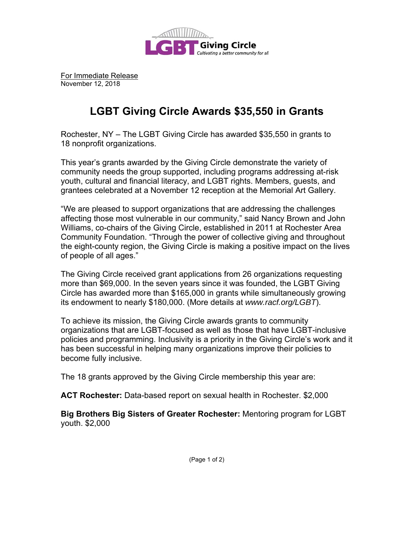

For Immediate Release November 12, 2018

## **LGBT Giving Circle Awards \$35,550 in Grants**

Rochester, NY – The LGBT Giving Circle has awarded \$35,550 in grants to 18 nonprofit organizations.

This year's grants awarded by the Giving Circle demonstrate the variety of community needs the group supported, including programs addressing at-risk youth, cultural and financial literacy, and LGBT rights. Members, guests, and grantees celebrated at a November 12 reception at the Memorial Art Gallery.

"We are pleased to support organizations that are addressing the challenges affecting those most vulnerable in our community," said Nancy Brown and John Williams, co-chairs of the Giving Circle, established in 2011 at Rochester Area Community Foundation. "Through the power of collective giving and throughout the eight-county region, the Giving Circle is making a positive impact on the lives of people of all ages."

The Giving Circle received grant applications from 26 organizations requesting more than \$69,000. In the seven years since it was founded, the LGBT Giving Circle has awarded more than \$165,000 in grants while simultaneously growing its endowment to nearly \$180,000. (More details at *www.racf.org/LGBT*).

To achieve its mission, the Giving Circle awards grants to community organizations that are LGBT-focused as well as those that have LGBT-inclusive policies and programming. Inclusivity is a priority in the Giving Circle's work and it has been successful in helping many organizations improve their policies to become fully inclusive.

The 18 grants approved by the Giving Circle membership this year are:

**ACT Rochester:** Data-based report on sexual health in Rochester. \$2,000

**Big Brothers Big Sisters of Greater Rochester:** Mentoring program for LGBT youth. \$2,000